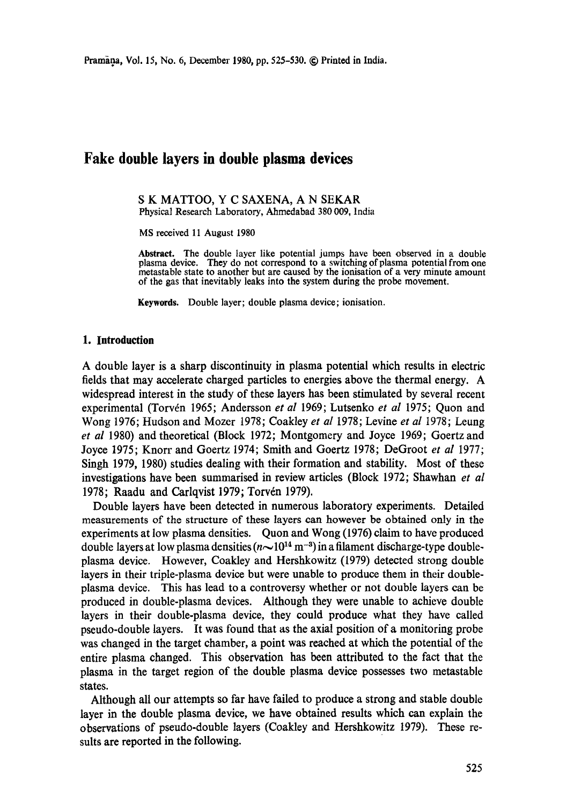# **Fake double layers in double plasma devices**

S K MATTOO, Y C SAXENA, A N SEKAR Physical Research Laboratory, Ahmedabad 380 009, India

MS received 11 August 1980

**Abstract.** The double layer like potential jumps have been observed in a double plasma device. They do not correspond to a switching of plasma potential from one metastable state to another but are caused by the ionisation of a very minute amount of the gas that inevitably leaks into the system during the probe movement.

**Keywords.** Double layer; double plasma device; ionisation.

#### **1. Introduction**

A double layer is a sharp discontinuity in plasma potential which results in electric fields that may accelerate charged particles to energies above the thermal energy. A widespread interest in the study of these layers has been stimulated by several recent experimental (Torvén 1965; Andersson *et al* 1969; Lutsenko *et al* 1975; Quon and Wong 1976; Hudson and Mozer 1978; Coakley *et al* 1978; Levine *et al* 1978; Leung *et al* 1980) and theoretical (Block 1972; Montgomery and Joyce 1969; Goertz and Joyce 1975; Knorr and Goertz 1974; Smith and Goertz 1978; DeGroot *et al* 1977; Singh 1979, 1980) studies dealing with their formation and stability. Most of these investigations have been summarised in review articles (Block 1972; Shawhan *et al*  1978; Raadu and Carlqvist 1979; Torvén 1979).

Double layers have been detected in numerous laboratory experiments. Detailed measurements of the structure of these layers can however be obtained only in the experiments at low plasma densities. Quon and Wong (1976) claim to have produced double layers at low plasma densities  $(n\sim 10^{14} \text{ m}^{-3})$  in a filament discharge-type doubleplasma device. However, Coakley and Hershkowitz (1979) detected strong double layers in their triple-plasma device but were unable to produce them in their doubleplasma device. This has lead to a controversy whether or not double layers can be produced in double-plasma devices. Although they were unable to achieve double layers in their double-plasma device, they could produce what they have called pseudo-double layers. It was found that as the axial position of a monitoring probe was changed in the target chamber, a point was reached at which the potential of the entire plasma changed. This observation has been attributed to the fact that the plasma in the target region of the double plasma device possesses two metastable states.

Although all our attempts so far have failed to produce a strong and stable double layer in the double plasma device, we have obtained results which can explain the observations of pseudo-double layers (Coakley and Hershkowitz 1979). These results are reported in the following.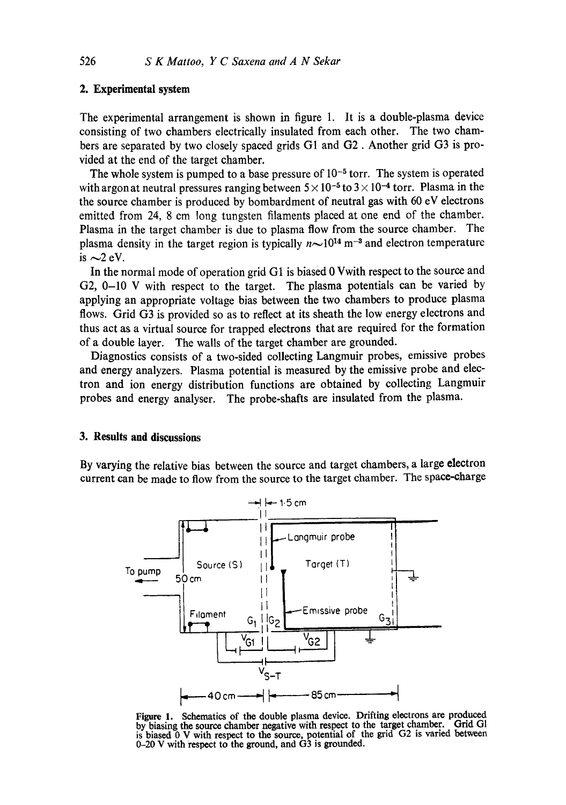## **2. Experimental system**

The experimental arrangement is shown in figure 1. It is a double-plasma device consisting of two chambers electrically insulated from each other. The two chambers are separated by two closely spaced grids GI and G2. Another grid G3 is provided at the end of the target chamber.

The whole system is pumped to a base pressure of  $10^{-5}$  torr. The system is operated with argon at neutral pressures ranging between  $5 \times 10^{-5}$  to  $3 \times 10^{-4}$  torr. Plasma in the the source chamber is produced by bombardment of neutral gas with 60 eV electrons emitted from 24, 8 cm long tungsten filaments placed at one end of the chamber. Plasma in the target chamber is due to plasma flow from the source chamber. The plasma density in the target region is typically  $n \sim 10^{14}$  m<sup>-3</sup> and electron temperature is  $\sim$ 2 eV.

In the normal mode of operation grid G1 is biased 0 Vwith respect to the source and G2, 0-10 V with respect to the target. The plasma potentials can be varied by applying an appropriate voltage bias between the two chambers to produce plasma flows. Grid G3 is provided so as to reflect at its sheath the low energy electrons and thus act as a virtual source for trapped electrons that are required for the formation of a double layer. The walls of the target chamber are grounded.

Diagnostics consists of a two-sided collecting Langmuir probes, emissive probes and energy analyzers. Plasma potential is measured by the emissive probe and electron and ion energy distribution functions are obtained by collecting Langmuir probes and energy analyser. The probe-shafts are insulated from the plasma.

## **3. Results and discussions**

By varying the relative bias between the source and target chambers, a large electron current can be made to flow from the source to the target chamber. The space-charge



Figure 1. Schematics of the double plasma device. Drifting electrons are produced by biasing the source chamber negative with respect to the target chamber. Grid GI is biased 0 V with respect to the source, potential of the grid G2 is varied between 0-20 V with respect to the ground, and G3 is grounded.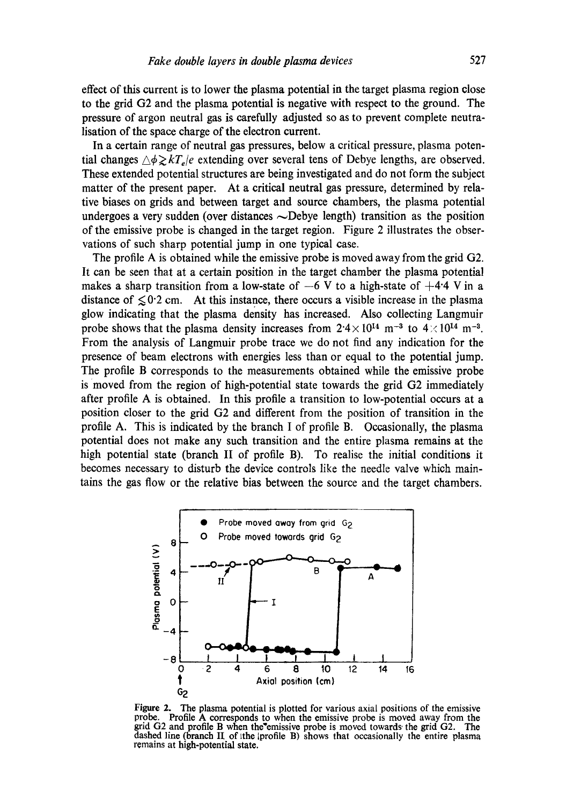effect of this current is to Iower the plasma potential in the target plasma region close to the grid G2 and the plasma potential is negative with respect to the ground. The pressure of argon neutral gas is carefully adjusted so as to prevent complete neutralisation of the space charge of the electron current.

In a certain range of neutral gas pressures, below a critical pressure, plasma potential changes  $\triangle \phi \gtrsim kT_e/e$  extending over several tens of Debye lengths, are observed. These extended potential structures are being investigated and do not form the subject matter of the present paper. At a critical neutral gas pressure, determined by relative biases on grids and between target and source chambers, the plasma potential undergoes a very sudden (over distances  $\sim$ Debye length) transition as the position of the emissive probe is changed in the target region. Figure 2 illustrates the observations of such sharp potential jump in one typical case.

The profile A is obtained while the emissive probe is moved away from the grid G2. It can be seen that at a certain position in the target chamber the plasma potential makes a sharp transition from a low-state of  $-6$  V to a high-state of  $+4.4$  V in a distance of  $\leq 0.2$  cm. At this instance, there occurs a visible increase in the plasma glow indicating that the plasma density has increased. Also collecting Langmuir probe shows that the plasma density increases from  $2.4 \times 10^{14}$  m<sup>-3</sup> to  $4 \times 10^{14}$  m<sup>-3</sup>. From the analysis of Langmuir probe trace we do not find any indication for the presence of beam electrons with energies less than or equal to the potential jump. The profile B corresponds to the measurements obtained while the emissive probe is moved from the region of high-potential state towards the grid G2 immediately after profile A is obtained. In this profile a transition to low-potential occurs at a position closer to the grid G2 and different from the position of transition in the profile A. This is indicated by the branch I of profile B. Occasionally, the plasma potential does not make any such transition and the entire plasma remains at the high potential state (branch II of profile B). To realise the initial conditions it becomes necessary to disturb the device controls like the needle valve which maintains the gas flow or the relative bias between the source and the target chambers.



Figure 2. The plasma potential is plotted for various axial positions of the emissive probe, Profile A corresponds to when the emissive probe is moved away from the grid G2 and profile B when the'emissive probe is moved towards, the grid G2. The dashed line (branch II of the lprofile B) shows that occasionally the entire plasma remains at high-potential state,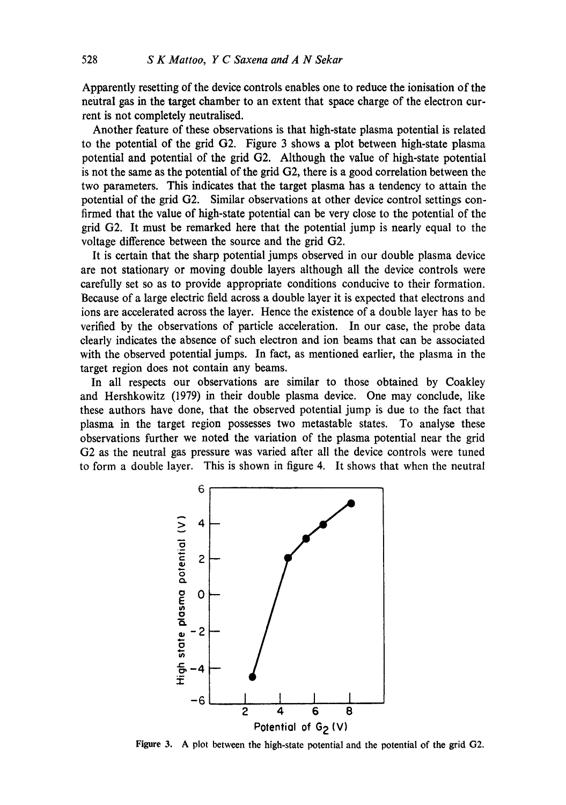Apparently resetting of the device controls enables one to reduce the ionisation of **the**  neutral gas in the target chamber to an extent that space charge of the electron current is not completely neutralised.

Another feature of these observations is that high-state plasma potential is related to the potential of the grid G2. Figure 3 shows a plot between high-state plasma potential and potential of the grid G2. Although the value of high-state potential is not the same as the potential of the grid G2, there is a good correlation between the two parameters. This indicates that the target plasma has a tendency to attain the potential of the grid G2. Similar observations at other device control settings confirmed that the value of high-state potential can be very close to the potential of the grid G2. It must be remarked here that the potential jump is nearly equal to the voltage difference between the source and the grid G2.

It is certain that the sharp potential jumps observed in our double plasma device are not stationary or moving double layers although all the device controls were carefully set so as to provide appropriate conditions conducive to their formation. Because of a large electric field across a double layer it is expected that electrons and ions are accelerated across the layer. Hence the existence of a double layer has to be verified by the observations of particle acceleration. In our case, the probe data dearly indicates the absence of such electron and ion beams that can be associated with the observed potential jumps. In fact, as mentioned earlier, the plasma in the target region does not contain any beams.

In all respects our observations are similar to those obtained by Coakley and Hershkowitz (1979) in their double plasma device. One may conclude, like these authors have done, that the observed potential jump is due to the fact that plasma in the target region possesses two metastable states. To analyse these observations further we noted the variation of the plasma potential near the grid G2 as the neutral gas pressure was varied after all the device controls were tuned to form a double layer. This is shown in figure 4. It shows that when the neutral



**Figure 3.**  A plot **between the** high-state potential and the potential of the grid G2.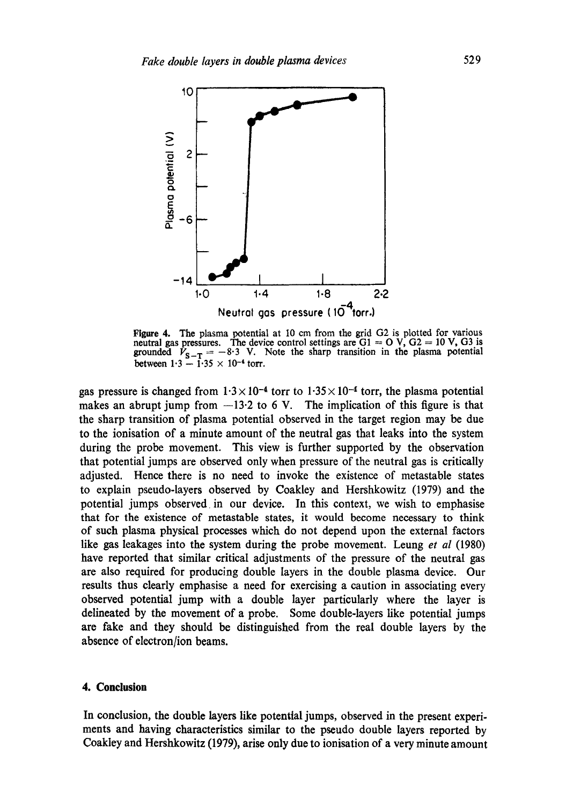

Figure 4. The plasma potential at I0 cm from the grid G2 is plotted for various neutral gas pressures. The device control settings are  $G1 = O$  V,  $G2 = 10$  V,  $G3$  is grounded  $\bar{V}_{S-T} = -8.3$  V. Note the sharp transition in the plasma potential between  $1.3 - 1.35 \times 10^{-4}$  torr.

gas pressure is changed from  $1.3 \times 10^{-4}$  torr to  $1.35 \times 10^{-4}$  torr, the plasma potential makes an abrupt jump from  $-13.2$  to 6 V. The implication of this figure is that the sharp transition of plasma potential observed in the target region may be due to the ionisation of a minute amount of the neutral gas that leaks into the system during the probe movement. This view is further supported by the observation that potential jumps are observed only when pressure of the neutral gas is critically adjusted. Hence there is no need to invoke the existence of metastable states to explain pseudo-layers observed by Coakley and Hershkowitz (1979) and the potential jumps observed in our device. In this context, we wish to emphasise that for the existence of metastable states, it would become necessary to think of such plasma physical processes which do not depend upon the external factors like gas leakages into the system during the probe movement. Leung *et al* (1980) have reported that similar critical adjustments of the pressure of the neutral gas are also required for producing double layers in the double plasma device. Our results thus dearly emphasise a need for exercising a caution in associating every observed potential jump with a double layer particularly where the layer is delineated by the movement of a probe. Some double-layers like potential jumps are fake and they should be distinguished from the real double layers by the absence of electron/ion beams.

### **4. Conclusion**

In conclusion, the double layers like potential jumps, observed in the present experiments and having characteristics similar to the pseudo double layers reported by Coakley and Hershkowitz (1979), arise only due to ionisation of a very minute amount